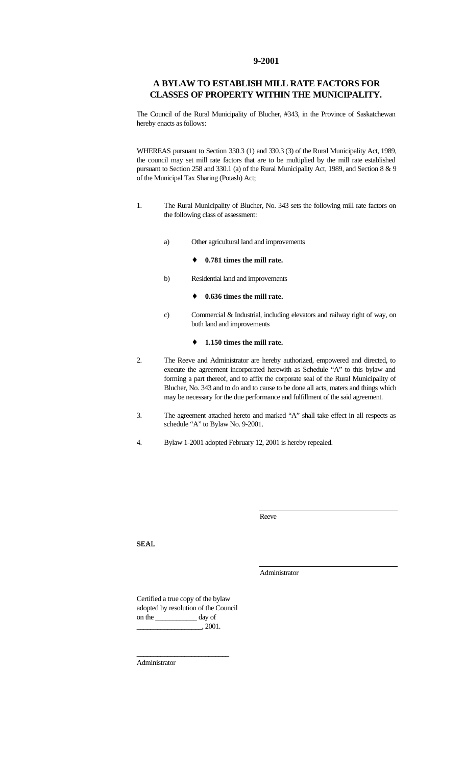#### **9-2001**

# **A BYLAW TO ESTABLISH MILL RATE FACTORS FOR CLASSES OF PROPERTY WITHIN THE MUNICIPALITY.**

The Council of the Rural Municipality of Blucher, #343, in the Province of Saskatchewan hereby enacts as follows:

WHEREAS pursuant to Section 330.3 (1) and 330.3 (3) of the Rural Municipality Act, 1989, the council may set mill rate factors that are to be multiplied by the mill rate established pursuant to Section 258 and 330.1 (a) of the Rural Municipality Act, 1989, and Section 8 & 9 of the Municipal Tax Sharing (Potash) Act;

- 1. The Rural Municipality of Blucher, No. 343 sets the following mill rate factors on the following class of assessment:
	- a) Other agricultural land and improvements
		- ♦ **0.781 times the mill rate.**
	- b) Residential land and improvements
		- ♦ **0.636 times the mill rate.**
	- c) Commercial & Industrial, including elevators and railway right of way, on both land and improvements

#### ♦ **1.150 times the mill rate.**

- 2. The Reeve and Administrator are hereby authorized, empowered and directed, to execute the agreement incorporated herewith as Schedule "A" to this bylaw and forming a part thereof, and to affix the corporate seal of the Rural Municipality of Blucher, No. 343 and to do and to cause to be done all acts, maters and things which may be necessary for the due performance and fulfillment of the said agreement.
- 3. The agreement attached hereto and marked "A" shall take effect in all respects as schedule "A" to Bylaw No. 9-2001.
- 4. Bylaw 1-2001 adopted February 12, 2001 is hereby repealed.

Reeve

SEAL

Administrator

Certified a true copy of the bylaw adopted by resolution of the Council on the \_\_\_\_\_\_\_\_\_\_\_\_ day of  $\_$ , 2001.

\_\_\_\_\_\_\_\_\_\_\_\_\_\_\_\_\_\_\_\_\_\_\_\_\_\_\_

Administrator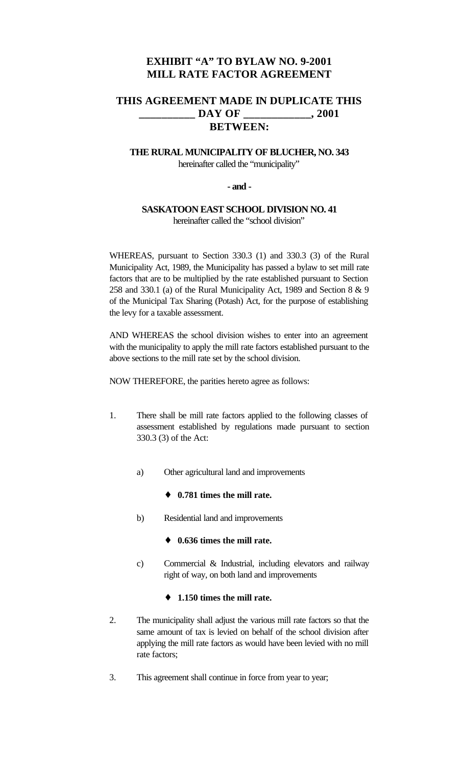# **EXHIBIT "A" TO BYLAW NO. 9-2001 MILL RATE FACTOR AGREEMENT**

# **THIS AGREEMENT MADE IN DUPLICATE THIS \_\_\_\_\_\_\_\_\_\_ DAY OF \_\_\_\_\_\_\_\_\_\_\_\_, 2001 BETWEEN:**

# **THE RURAL MUNICIPALITY OF BLUCHER, NO. 343** hereinafter called the "municipality"

### **- and -**

## **SASKATOON EAST SCHOOL DIVISION NO. 41** hereinafter called the "school division"

WHEREAS, pursuant to Section 330.3 (1) and 330.3 (3) of the Rural Municipality Act, 1989, the Municipality has passed a bylaw to set mill rate factors that are to be multiplied by the rate established pursuant to Section 258 and 330.1 (a) of the Rural Municipality Act, 1989 and Section 8 & 9 of the Municipal Tax Sharing (Potash) Act, for the purpose of establishing the levy for a taxable assessment.

AND WHEREAS the school division wishes to enter into an agreement with the municipality to apply the mill rate factors established pursuant to the above sections to the mill rate set by the school division.

NOW THEREFORE, the parities hereto agree as follows:

- 1. There shall be mill rate factors applied to the following classes of assessment established by regulations made pursuant to section 330.3 (3) of the Act:
	- a) Other agricultural land and improvements
		- ♦ **0.781 times the mill rate.**
	- b) Residential land and improvements
		- ♦ **0.636 times the mill rate.**
	- c) Commercial & Industrial, including elevators and railway right of way, on both land and improvements

# ♦ **1.150 times the mill rate.**

- 2. The municipality shall adjust the various mill rate factors so that the same amount of tax is levied on behalf of the school division after applying the mill rate factors as would have been levied with no mill rate factors;
- 3. This agreement shall continue in force from year to year;